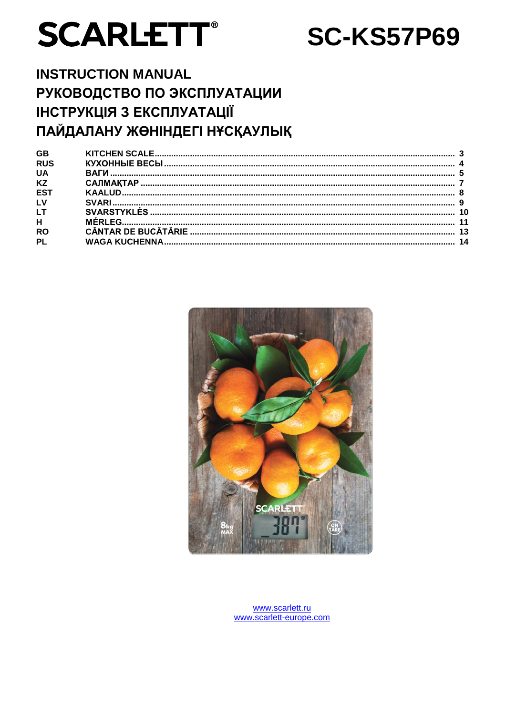# **SCARLETT®**

## **SC-KS57P69**

## **INSTRUCTION MANUAL** РУКОВОДСТВО ПО ЭКСПЛУАТАЦИИ ІНСТРУКЦІЯ З ЕКСПЛУАТАЦІЇ ПАЙДАЛАНУ ЖӨНІНДЕГІ НҰСҚАУЛЫҚ



www.scarlett.ru www.scarlett-europe.com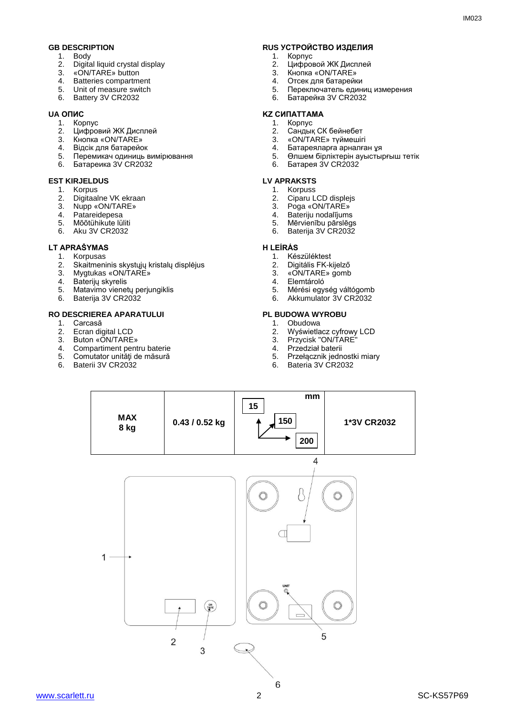- 1. Body<br>2. Digita
- 2. Digital liquid crystal display
- 3. «ON/TARE» button
- 4. Batteries compartment
- 5. Unit of measure switch
- 6. Battery 3V CR2032

- 1. Корпус
- 2. Цифровий ЖК Дисплей<br>3. Кнопка «ON/TARE»
- **3.** Кнопка «ON/TARE»<br>4. Вілсік лля батарейс
- 4. Відсік для батарейок
- 5. Перемикач одиниць вимірювання
- 6. Батареика 3V CR2032

#### **EST KIRJELDUS LV APRAKSTS**

- 1. Korpus
- 2. Digitaalne VK ekraan
- 3. Nupp «ON/TARE»<br>4. Patareidenesa
- 4. Patareidepesa
- 5. Mõõtühikute lüliti
- 6. Aku 3V CR2032

#### **LT APRAŠYMAS H LEÍRÁS**

- 1. Korpusas<br>2. Skaitmeni
- 2. Skaitmeninis skystųjų kristalų displėjus<br>3. Mygtukas «ON/TARF»
- Mygtukas «ON/TARE»
- 4. Baterijų skyrelis<br>5. Matavimo viene
- Matavimo vienetų perjungiklis
- 6. Baterija 3V CR2032

#### **RO DESCRIEREA APARATULUI PL BUDOWA WYROBU**

- 1. Carcasă<br>2. Ecran dio
- 2. Ecran digital LCD<br>3. Buton «ON/TARE
- 3. Buton «ON/TARE»<br>4 Compartiment pent
- 4. Compartiment pentru baterie<br>5. Comutator unități de măsură
- 5. Comutator unități de măsură<br>6. Baterii 3V CR2032
- Baterii 3V CR2032

## **GB DESCRIPTION RUS УСТРОЙСТВО ИЗДЕЛИЯ**<br>1 Rody 1. Корпус

- 1. Корпус
- 2. Цифровой ЖК Дисплей<br>3. Кнопка «ON/TARE»
- 3. Кнопка «ON/TARE»<br>4. Отсек для батарейк
- 4. Отсек для батарейки<br>5. Переключатель един
- 5. Переключатель единиц измерения<br>6. Батарейка 3V CR2032
- 6. Батарейка 3V CR2032

#### **UA ОПИС KZ СИПАТТАМА**

- 1. Корпус
- 2. Сандық СК бейнебет<br>3. «ON/TARE» түймешіг
- 3. «ON/TARE» түймешігі<br>4. Батареяларға арналға
- 4. Батареяларға арналған ұя<br>5. Өлшем бірліктерін ауысты
- 5. Өлшем бірліктерін ауыстырғыш тетік
- 6. Батарея 3V CR2032

- 1. Korpuss
- 2. Ciparu LCD displejs
- 3. Poga «ON/TARE»<br>4. Bateriiu nodalījums
- 4. Bateriju nodalījums<br>5. Mērvienību pārslēgi
- 5. Mērvienību pārslēgs
- 6. Baterija 3V CR2032

- 1. Készüléktest<br>2. Digitális FK-k
- 2. Digitális FK-kijelző<br>3. «ON/TARE» gomb
- 3. «ON/TARE» gomb<br>4. Elemtároló
- 4. Elemtároló<br>5. Mérési egy
- 5. Mérési egység váltógomb
- 6. Akkumulator 3V CR2032

- 1. Obudowa<br>2. Wyświetla
- 2. Wyświetlacz cyfrowy LCD
- 3. Przycisk "ON/TARE"
- 4. Przedział baterii<br>5. Przełacznik jedn
- 5. Przełącznik jednostki miary
- 6. Bateria 3V CR2032

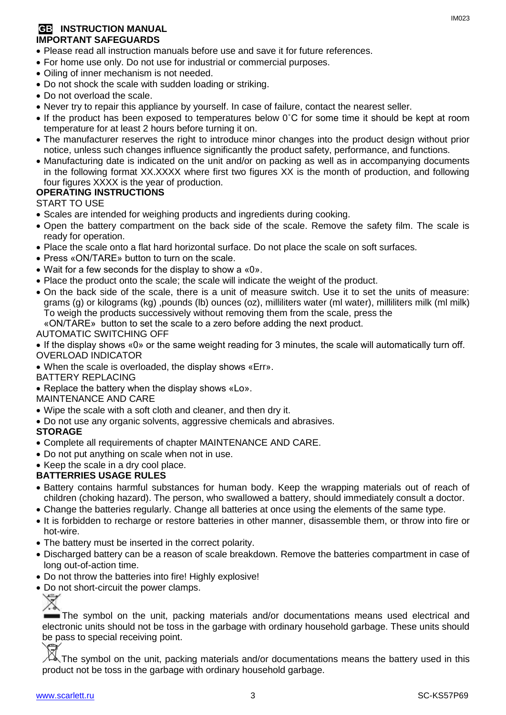#### **GB INSTRUCTION MANUAL IMPORTANT SAFEGUARDS**

- Please read all instruction manuals before use and save it for future references.
- For home use only. Do not use for industrial or commercial purposes.
- Oiling of inner mechanism is not needed.
- Do not shock the scale with sudden loading or striking.
- Do not overload the scale.
- Never try to repair this appliance by yourself. In case of failure, contact the nearest seller.
- If the product has been exposed to temperatures below 0°C for some time it should be kept at room temperature for at least 2 hours before turning it on.
- The manufacturer reserves the right to introduce minor changes into the product design without prior notice, unless such changes influence significantly the product safety, performance, and functions.
- Manufacturing date is indicated on the unit and/or on packing as well as in accompanying documents in the following format XX.XXXX where first two figures XX is the month of production, and following four figures XXXX is the year of production.

#### **OPERATING INSTRUCTIONS**

START TO USE

- Scales are intended for weighing products and ingredients during cooking.
- Open the battery compartment on the back side of the scale. Remove the safety film. The scale is ready for operation.
- Place the scale onto a flat hard horizontal surface. Do not place the scale on soft surfaces.
- Press «ON/TARE» button to turn on the scale.
- Wait for a few seconds for the display to show a «0».
- Place the product onto the scale; the scale will indicate the weight of the product.
- On the back side of the scale, there is a unit of measure switch. Use it to set the units of measure: grams (g) or kilograms (kg) ,pounds (lb) ounces (oz), milliliters water (ml water), milliliters milk (ml milk) To weigh the products successively without removing them from the scale, press the «ON/ТARE» button to set the scale to a zero before adding the next product.

#### AUTOMATIC SWITCHING OFF

 If the display shows «0» or the same weight reading for 3 minutes, the scale will automatically turn off. OVERLOAD INDICATOR

When the scale is overloaded, the display shows «Err».

#### BATTERY REPLACING

• Replace the battery when the display shows «Lo».

#### MAINTENANCE AND CARE

- Wipe the scale with a soft cloth and cleaner, and then dry it.
- Do not use any organic solvents, aggressive chemicals and abrasives.

#### **STORAGE**

- Complete all requirements of chapter MAINTENANCE AND CARE.
- Do not put anything on scale when not in use.
- Keep the scale in a dry cool place.

#### **BATTERRIES USAGE RULES**

- Battery contains harmful substances for human body. Keep the wrapping materials out of reach of children (choking hazard). The person, who swallowed a battery, should immediately consult a doctor.
- Change the batteries regularly. Change all batteries at once using the elements of the same type.
- It is forbidden to recharge or restore batteries in other manner, disassemble them, or throw into fire or hot-wire.
- The battery must be inserted in the correct polarity.
- Discharged battery can be a reason of scale breakdown. Remove the batteries compartment in case of long out-of-action time.
- Do not throw the batteries into fire! Highly explosive!
- Do not short-circuit the power clamps.

The symbol on the unit, packing materials and/or documentations means used electrical and electronic units should not be toss in the garbage with ordinary household garbage. These units should be pass to special receiving point.

The symbol on the unit, packing materials and/or documentations means the battery used in this product not be toss in the garbage with ordinary household garbage.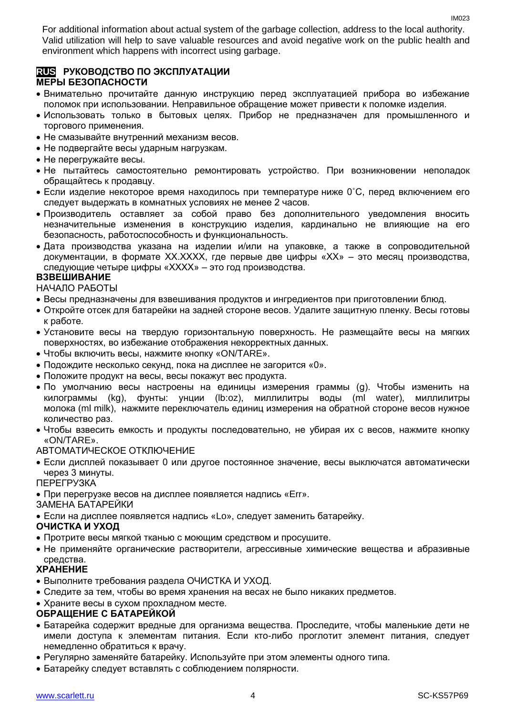For additional information about actual system of the garbage collection, address to the local authority. Valid utilization will help to save valuable resources and avoid negative work on the public health and environment which happens with incorrect using garbage.

#### **RUS РУКОВОДСТВО ПО ЭКСПЛУАТАЦИИ МЕРЫ БЕЗОПАСНОСТИ**

- Внимательно прочитайте данную инструкцию перед эксплуатацией прибора во избежание поломок при использовании. Неправильное обращение может привести к поломке изделия.
- Использовать только в бытовых целях. Прибор не предназначен для промышленного и торгового применения.
- Не смазывайте внутренний механизм весов.
- Не подвергайте весы ударным нагрузкам.
- Не перегружайте весы.
- Не пытайтесь самостоятельно ремонтировать устройство. При возникновении неполадок обращайтесь к продавцу.
- $\bullet$  Если изделие некоторое время находилось при температуре ниже 0°С, перед включением его следует выдержать в комнатных условиях не менее 2 часов.
- Производитель оставляет за собой право без дополнительного уведомления вносить незначительные изменения в конструкцию изделия, кардинально не влияющие на его безопасность, работоспособность и функциональность.
- Дата производства указана на изделии и/или на упаковке, а также в сопроводительной документации, в формате XX.XXXX, где первые две цифры «XX» – это месяц производства, следующие четыре цифры «XXXX» – это год производства.

#### **ВЗВЕШИВАНИЕ**

НАЧАЛО РАБОТЫ

- Весы предназначены для взвешивания продуктов и ингредиентов при приготовлении блюд.
- Откройте отсек для батарейки на задней стороне весов. Удалите защитную пленку. Весы готовы к работе.
- Установите весы на твердую горизонтальную поверхность. Не размещайте весы на мягких поверхностях, во избежание отображения некорректных данных.
- Чтобы включить весы, нажмите кнопку «ON/ТARE».
- Подождите несколько секунд, пока на дисплее не загорится «0».
- Положите продукт на весы, весы покажут вес продукта.
- По умолчанию весы настроены на единицы измерения граммы (g). Чтобы изменить на килограммы (kg), фунты: унции (lb:oz), миллилитры воды (ml water), миллилитры молока (ml milk), нажмите переключатель единиц измерения на обратной стороне весов нужное количество раз.
- Чтобы взвесить емкость и продукты последовательно, не убирая их с весов, нажмите кнопку «ON/ТARE».

#### АВТОМАТИЧЕСКОЕ ОТКЛЮЧЕНИЕ

 Если дисплей показывает 0 или другое постоянное значение, весы выключатся автоматически через 3 минуты.

ПЕРЕГРУЗКА

При перегрузке весов на дисплее появляется надпись «Err».

#### ЗАМЕНА БАТАРЕЙКИ

Если на дисплее появляется надпись «Lo», следует заменить батарейку.

#### **ОЧИСТКА И УХОД**

- Протрите весы мягкой тканью с моющим средством и просушите.
- Не применяйте органические растворители, агрессивные химические вещества и абразивные средства.

### **ХРАНЕНИЕ**

- Выполните требования раздела ОЧИСТКА И УХОД.
- Следите за тем, чтобы во время хранения на весах не было никаких предметов.
- Храните весы в сухом прохладном месте.

#### **ОБРАЩЕНИЕ С БАТАРЕЙКОЙ**

- Батарейка содержит вредные для организма вещества. Проследите, чтобы маленькие дети не имели доступа к элементам питания. Если кто-либо проглотит элемент питания, следует немедленно обратиться к врачу.
- Регулярно заменяйте батарейку. Используйте при этом элементы одного типа.
- Батарейку следует вставлять с соблюдением полярности.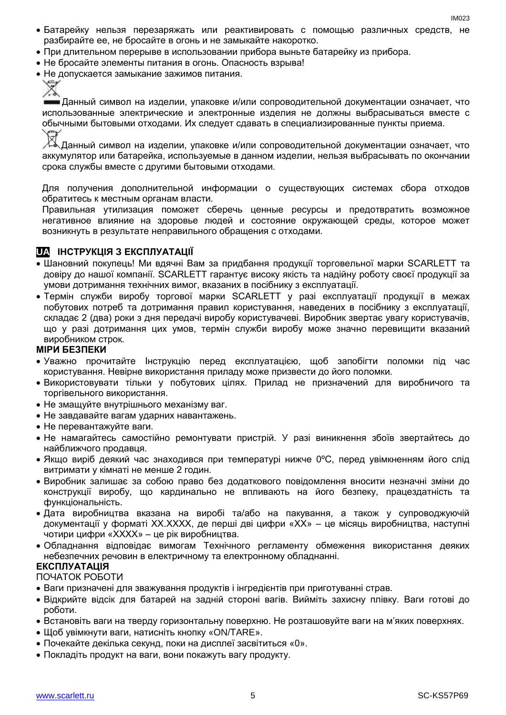- Батарейку нельзя перезаряжать или реактивировать с помощью различных средств, не разбирайте ее, не бросайте в огонь и не замыкайте накоротко.
- При длительном перерыве в использовании прибора выньте батарейку из прибора.
- Не бросайте элементы питания в огонь. Опасность взрыва!
- Не допускается замыкание зажимов питания.

Данный символ на изделии, упаковке и/или сопроводительной документации означает, что использованные электрические и электронные изделия не должны выбрасываться вместе с обычными бытовыми отходами. Их следует сдавать в специализированные пункты приема.

Данный символ на изделии, упаковке и/или сопроводительной документации означает, что аккумулятор или батарейка, используемые в данном изделии, нельзя выбрасывать по окончании срока службы вместе с другими бытовыми отходами.

Для получения дополнительной информации о существующих системах сбора отходов обратитесь к местным органам власти.

Правильная утилизация поможет сберечь ценные ресурсы и предотвратить возможное негативное влияние на здоровье людей и состояние окружающей среды, которое может возникнуть в результате неправильного обращения с отходами.

#### **UA ІНСТРУКЦІЯ З ЕКСПЛУАТАЦІЇ**

- Шановний покупець! Ми вдячні Вам за придбання продукції торговельної марки SCARLETT та довіру до нашої компанії. SCARLETT гарантує високу якість та надійну роботу своєї продукції за умови дотримання технічних вимог, вказаних в посібнику з експлуатації.
- Термін служби виробу торгової марки SCARLETT у разі експлуатації продукції в межах побутових потреб та дотримання правил користування, наведених в посібнику з експлуатації, складає 2 (два) роки з дня передачі виробу користувачеві. Виробник звертає увагу користувачів, що у разі дотримання цих умов, термін служби виробу може значно перевищити вказаний виробником строк.

#### **МІРИ БЕЗПЕКИ**

- Уважно прочитайте Інструкцію перед експлуатацією, щоб запобігти поломки під час користування. Невірне використання приладу може призвести до його поломки.
- Використовувати тільки у побутових цілях. Прилад не призначений для виробничого та торгівельного використання.
- Не змащуйте внутрішнього механізму ваг.
- Не завдавайте вагам ударних навантажень.
- Не перевантажуйте ваги.
- Не намагайтесь самостійно ремонтувати пристрій. У разі виникнення збоїв звертайтесь до найближчого продавця.
- Якщо виріб деякий час знаходився при температурі нижче 0ºC, перед увімкненням його слід витримати у кімнаті не менше 2 годин.
- Виробник залишає за собою право без додаткового повідомлення вносити незначні зміни до конструкції виробу, що кардинально не впливають на його безпеку, працездатність та функціональність.
- Дата виробництва вказана на виробі та/або на пакування, а також у супроводжуючій документації у форматі XX.XXXX, де перші дві цифри «XX» – це місяць виробництва, наступні чотири цифри «XXXX» – це рік виробництва.
- Обладнання відповідає вимогам Технічного регламенту обмеження використання деяких небезпечних речовин в електричному та електронному обладнанні.

#### **ЕКСПЛУАТАЦІЯ**

#### ПОЧАТОК РОБОТИ

- Ваги призначені для зважування продуктів і інгредієнтів при приготуванні страв.
- Відкрийте відсік для батарей на задній стороні вагів. Вийміть захисну плівку. Ваги готові до роботи.
- Встановіть ваги на тверду горизонтальну поверхню. Не розташовуйте ваги на м'яких поверхнях.
- Щоб увімкнути ваги, натисніть кнопку «ON/TARE».
- Почекайте декілька секунд, поки на дисплеї засвітиться «0».
- Покладіть продукт на ваги, вони покажуть вагу продукту.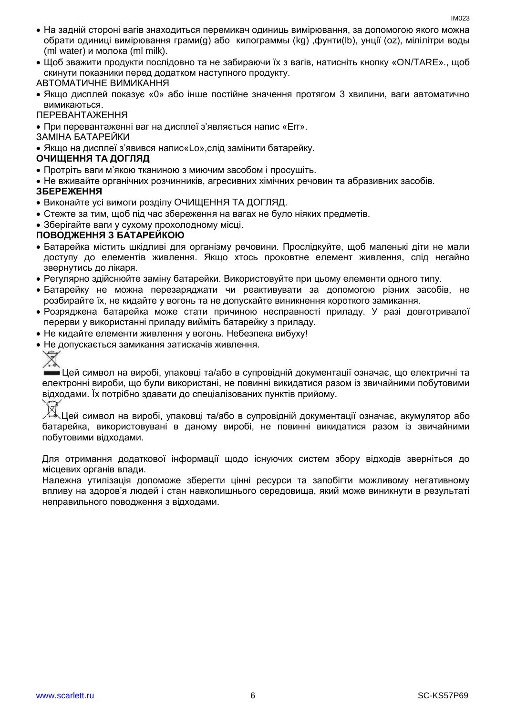- На задній стороні вагів знаходиться перемикач одиниць вимірювання, за допомогою якого можна обрати одиниці вимірювання грами(g) або килограммы (kg) ,фунти(lb), унції (oz), мілілітри воды (ml water) и молока (ml milk).
- Щоб зважити продукти послідовно та не забираючи їх з вагів, натисніть кнопку «ON/ТARE»., щоб скинути показники перед додатком наступного продукту.

#### АВТОМАТИЧНЕ ВИМИКАННЯ

- Якщо дисплей показує «0» або інше постійне значення протягом 3 хвилини, ваги автоматично вимикаються.
- ПЕРЕВАНТАЖЕННЯ
- При перевантаженні ваг на дисплеї з'являється напис «Err».

ЗАМІНА БАТАРЕЙКИ

Якщо на дисплеї з'явився напис«Lo»,слід замінити батарейку.

#### **ОЧИЩЕННЯ ТА ДОГЛЯД**

- Протріть ваги м'якою тканиною з миючим засобом і просушіть.
- Не вживайте органічних розчинників, агресивних хімічних речовин та абразивних засобів.

#### **ЗБЕРЕЖЕННЯ**

- Виконайте усі вимоги розділу ОЧИЩЕННЯ ТА ДОГЛЯД.
- Стежте за тим, щоб під час збереження на вагах не було ніяких предметів.
- Зберігайте ваги у сухому прохолодному місці.

#### **ПОВОДЖЕННЯ З БАТАРЕЙКОЮ**

- Батарейка містить шкідливі для організму речовини. Прослідкуйте, щоб маленькі діти не мали доступу до елементів живлення. Якщо хтось проковтне елемент живлення, слід негайно звернутись до лікаря.
- Регулярно здійснюйте заміну батарейки. Використовуйте при цьому елементи одного типу.
- Батарейку не можна перезаряджати чи реактивувати за допомогою різних засобів, не розбирайте їх, не кидайте у вогонь та не допускайте виникнення короткого замикання.
- Розряджена батарейка може стати причиною несправності приладу. У разі довготривалої перерви у використанні приладу вийміть батарейку з приладу.
- Не кидайте елементи живлення у вогонь. Небезпека вибуху!
- Не допускається замикання затискачів живлення.

Цей символ на виробі, упаковці та/або в супровідній документації означає, що електричні та електронні вироби, що були використані, не повинні викидатися разом із звичайними побутовими відходами. Їх потрібно здавати до спеціалізованих пунктів прийому.

### Цей символ на виробі, упаковці та/або в супровідній документації означає, акумулятор або батарейка, використовувані в даному виробі, не повинні викидатися разом із звичайними побутовими відходами.

Для отримання додаткової інформації щодо існуючих систем збору відходів зверніться до місцевих органів влади.

Належна утилізація допоможе зберегти цінні ресурси та запобігти можливому негативному впливу на здоров'я людей і стан навколишнього середовища, який може виникнути в результаті неправильного поводження з відходами.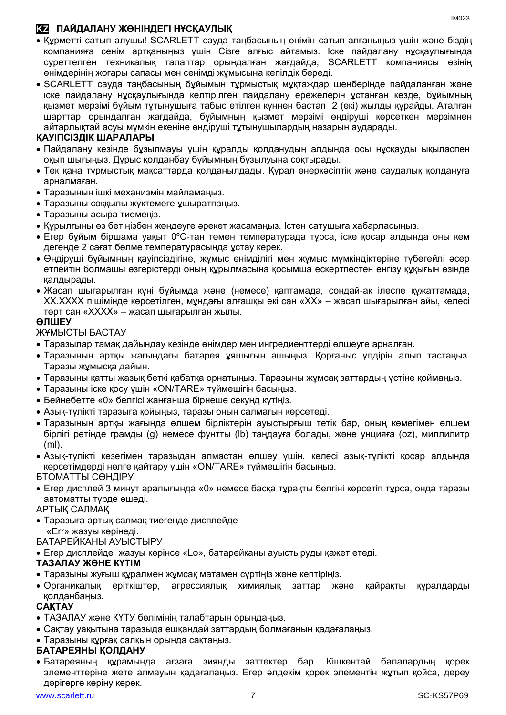### **KZ ПАЙДАЛАНУ ЖӨНІНДЕГІ НҰСҚАУЛЫҚ**

- Құрметті сатып алушы! SCARLETT сауда таңбасының өнімін сатып алғаныңыз үшін және біздің компанияға сенім артқаныңыз үшін Сізге алғыс айтамыз. Іске пайдалану нұсқаулығында суреттелген техникалық талаптар орындалған жағдайда, SCARLETT компаниясы өзінің өнімдерінің жоғары сапасы мен сенімді жұмысына кепілдік береді.
- SCARLETT сауда таңбасының бұйымын тұрмыстық мұқтаждар шеңберінде пайдаланған және іске пайдалану нұсқаулығында келтірілген пайдалану ережелерін ұстанған кезде, бұйымның қызмет мерзімі бұйым тұтынушыға табыс етілген күннен бастап 2 (екі) жылды құрайды. Аталған шарттар орындалған жағдайда, бұйымның қызмет мерзімі өндіруші көрсеткен мерзімнен айтарлықтай асуы мүмкін екеніне өндіруші тұтынушылардың назарын аударады.

#### **ҚАУІПСІЗДІК ШАРАЛАРЫ**

- Пайдалану кезінде бұзылмауы үшін құралды қолданудың алдында осы нұсқауды ықыласпен оқып шығыңыз. Дұрыс қолданбау бұйымның бұзылуына соқтырады.
- Тек қана тұрмыстық мақсаттарда қолданылдады. Құрал өнеркәсіптік және саудалық қолдануға арналмаған.
- Таразының ішкі механизмін майламаңыз.
- Таразыны соққылы жүктемеге ұшыратпаңыз.
- Таразыны асыра тиемеңіз.
- Құрылғыны өз бетіңізбен жөндеуге әрекет жасамаңыз. Істен сатушыға хабарласыңыз.
- Егер бұйым біршама уақыт 0ºC-тан төмен температурада тұрса, іске қосар алдында оны кем дегенде 2 сағат бөлме температурасында ұстау керек.
- Өндіруші бұйымның қауіпсіздігіне, жұмыс өнімділігі мен жұмыс мүмкіндіктеріне түбегейлі әсер етпейтін болмашы өзгерістерді оның құрылмасына қосымша ескертпестен енгізу құқығын өзінде қалдырады.
- Жасап шығарылған күні бұйымда және (немесе) қаптамада, сондай-ақ ілеспе құжаттамада, XX.XXXX пішімінде көрсетілген, мұндағы алғашқы екі сан «XX» – жасап шығарылған айы, келесі төрт сан «XXXX» – жасап шығарылған жылы.

#### **ӨЛШЕУ**

ЖҰМЫСТЫ БАСТАУ

- Таразылар тамақ дайындау кезінде өнімдер мен ингредиенттерді өлшеуге арналған.
- Таразының артқы жағындағы батарея ұяшығын ашыңыз. Қорғаныс үлдірін алып тастаңыз. Таразы жұмысқа дайын.
- Таразыны қатты жазық беткі қабатқа орнатыңыз. Таразыны жұмсақ заттардың үстіне қоймаңыз.
- Таразыны іске қосу үшін «ON/ТARE» түймешігін басыңыз.
- Бейнебетте «0» белгісі жанғанша бірнеше секунд күтіңіз.
- Азық-түлікті таразыға қойыңыз, таразы оның салмағын көрсетеді.
- Таразының артқы жағында өлшем бірліктерін ауыстырғыш тетік бар, оның көмегімен өлшем бірлігі ретінде грамды (g) немесе фунтты (lb) таңдауға болады, және унцияға (oz), миллилитр (ml).
- Азық-түлікті кезегімен таразыдан алмастан өлшеу үшін, келесі азық-түлікті қосар алдында көрсетімдерді нөлге қайтару үшін «ON/ТARE» түймешігін басыңыз.

ВТОМАТТЫ СӨНДІРУ

 Егер дисплей 3 минут аралығында «0» немесе басқа тұрақты белгіні көрсетіп тұрса, онда таразы автоматты түрде өшеді.

АРТЫҚ САЛМАҚ

 Таразыға артық салмақ тиегенде дисплейде «Err» жазуы көрінеді.

#### БАТАРЕЙКАНЫ АУЫСТЫРУ

Егер дисплейде жазуы көрінсе «Lo», батарейканы ауыстыруды қажет етеді.

#### **ТАЗАЛАУ ЖӘНЕ КҮТІМ**

- Таразыны жуғыш құралмен жұмсақ матамен сүртіңіз және кептіріңіз.
- Органикалық еріткіштер, агрессиялық химиялық заттар және қайрақты құралдарды қолданбаңыз.

#### **САҚТАУ**

- ТАЗАЛАУ және КҮТУ бөлімінің талабтарын орындаңыз.
- Сақтау уақытына таразыда ешқандай заттардың болмағанын қадағалаңыз.
- Таразыны құрғақ салқын орында сақтаңыз.

#### **БАТАРЕЯНЫ ҚОЛДАНУ**

 Батареяның құрамында ағзаға зиянды заттектер бар. Кішкентай балалардың қорек элементтеріне жете алмауын қадағалаңыз. Егер әлдекім қорек элементін жұтып қойса, дереу дәрігерге көріну керек.

IM023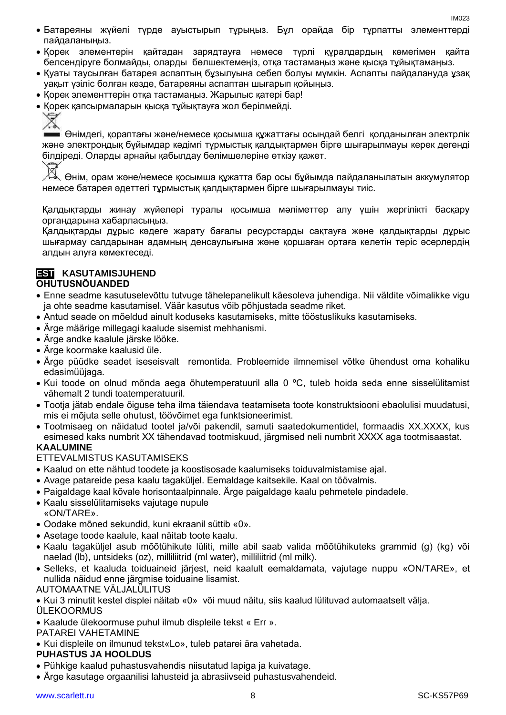- Батареяны жүйелі түрде ауыстырып тұрыңыз. Бұл орайда бір тұрпатты элементтерді пайдаланыңыз.
- Қорек элементерін қайтадан зарядтауға немесе түрлі құралдардың көмегімен қайта белсендіруге болмайды, оларды бөлшектемеңіз, отқа тастамаңыз және қысқа тұйықтамаңыз.
- Қуаты таусылған батарея аспаптың бұзылуына себеп болуы мүмкін. Аспапты пайдалануда ұзақ уақыт үзіліс болған кезде, батареяны аспаптан шығарып қойыңыз.
- Қорек элементтерін отқа тастамаңыз. Жарылыс қатері бар!
- Қорек қапсырмаларын қысқа тұйықтауға жол берілмейді.

Z

Өнімдегі, қораптағы және/немесе қосымша құжаттағы осындай белгі қолданылған электрлік және электрондық бұйымдар кәдімгі тұрмыстық қалдықтармен бірге шығарылмауы керек дегенді білдіреді. Оларды арнайы қабылдау бөлімшелеріне өткізу қажет.

Өнім, орам және/немесе қосымша құжатта бар осы бұйымда пайдаланылатын аккумулятор немесе батарея әдеттегі тұрмыстық қалдықтармен бірге шығарылмауы тиіс.

Қалдықтарды жинау жүйелері туралы қосымша мәліметтер алу үшін жергілікті басқару органдарына хабарласыңыз.

Қалдықтарды дұрыс кәдеге жарату бағалы ресурстарды сақтауға және қалдықтарды дұрыс шығармау салдарынан адамның денсаулығына және қоршаған ортаға келетін теріс әсерлердің алдын алуға көмектеседі.

#### **EST KASUTAMISJUHEND OHUTUSNÕUANDED**

- Enne seadme kasutuselevõttu tutvuge tähelepanelikult käesoleva juhendiga. Nii väldite võimalikke vigu ja ohte seadme kasutamisel. Väär kasutus võib põhjustada seadme riket.
- Antud seade on mõeldud ainult koduseks kasutamiseks, mitte tööstuslikuks kasutamiseks.
- Ärge määrige millegagi kaalude sisemist mehhanismi.
- Ärge andke kaalule järske lööke.
- Ärge koormake kaalusid üle.
- Ärge püüdke seadet iseseisvalt remontida. Probleemide ilmnemisel võtke ühendust oma kohaliku edasimüüjaga.
- Kui toode on olnud mõnda aega õhutemperatuuril alla 0 ºC, tuleb hoida seda enne sisselülitamist vähemalt 2 tundi toatemperatuuril.
- Tootja jätab endale õiguse teha ilma täiendava teatamiseta toote konstruktsiooni ebaolulisi muudatusi, mis ei mõjuta selle ohutust, töövõimet ega funktsioneerimist.
- Tootmisaeg on näidatud tootel ja/või pakendil, samuti saatedokumentidel, formaadis XX.XXXX, kus esimesed kaks numbrit XX tähendavad tootmiskuud, järgmised neli numbrit XXXX aga tootmisaastat. **KAALUMINE**

### ETTEVALMISTUS KASUTAMISEKS

- Kaalud on ette nähtud toodete ja koostisosade kaalumiseks toiduvalmistamise ajal.
- Avage patareide pesa kaalu tagaküljel. Eemaldage kaitsekile. Kaal on töövalmis.
- Paigaldage kaal kõvale horisontaalpinnale. Ärge paigaldage kaalu pehmetele pindadele.
- Kaalu sisselülitamiseks vajutage nupule «ON/ТARE».
- Oodake mõned sekundid, kuni ekraanil süttib «0».
- Asetage toode kaalule, kaal näitab toote kaalu.
- Kaalu tagaküljel asub mõõtühikute lüliti, mille abil saab valida mõõtühikuteks grammid (g) (kg) või naelad (lb), untsideks (oz), milliliitrid (ml water), milliliitrid (ml milk).
- Selleks, et kaaluda toiduaineid järjest, neid kaalult eemaldamata, vajutage nuppu «ON/ТARE», et nullida näidud enne järgmise toiduaine lisamist.

#### AUTOMAATNE VÄLJALÜLITUS

- Kui 3 minutit kestel displei näitab «0» või muud näitu, siis kaalud lülituvad automaatselt välja.
- **ÜLEKOORMUS**
- Kaalude ülekoormuse puhul ilmub displeile tekst « Err ».

PATAREI VAHETAMINE

Kui displeile on ilmunud tekst«Lo», tuleb patarei ära vahetada.

#### **PUHASTUS JA HOOLDUS**

- Pühkige kaalud puhastusvahendis niisutatud lapiga ja kuivatage.
- Ärge kasutage orgaanilisi lahusteid ja abrasiivseid puhastusvahendeid.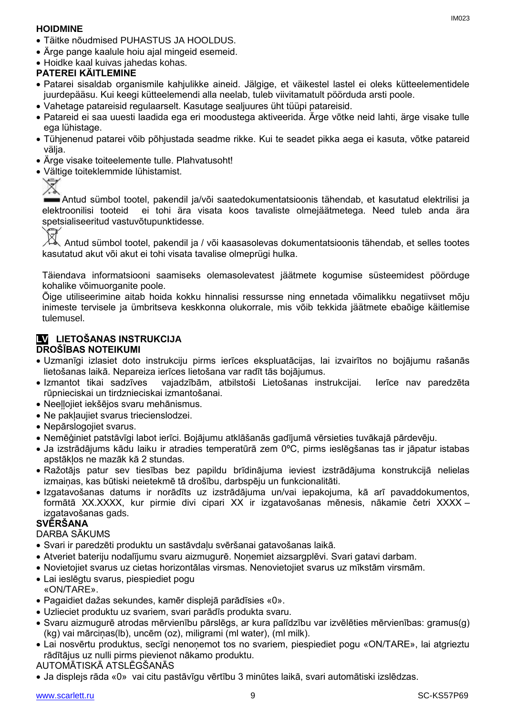#### **HOIDMINE**

- Täitke nõudmised PUHASTUS JA HOOLDUS.
- Ärge pange kaalule hoiu ajal mingeid esemeid.
- Hoidke kaal kuivas jahedas kohas.

### **PATEREI KÄITLEMINE**

- Patarei sisaldab organismile kahjulikke aineid. Jälgige, et väikestel lastel ei oleks kütteelementidele juurdepääsu. Kui keegi kütteelemendi alla neelab, tuleb viivitamatult pöörduda arsti poole.
- Vahetage patareisid regulaarselt. Kasutage sealjuures üht tüüpi patareisid.
- Patareid ei saa uuesti laadida ega eri moodustega aktiveerida. Ärge võtke neid lahti, ärge visake tulle ega lühistage.
- Tühjenenud patarei võib põhjustada seadme rikke. Kui te seadet pikka aega ei kasuta, võtke patareid välja.
- Ärge visake toiteelemente tulle. Plahvatusoht!
- Vältige toiteklemmide lühistamist.



Antud sümbol tootel, pakendil ja/või saatedokumentatsioonis tähendab, et kasutatud elektrilisi ja elektroonilisi tooteid ei tohi ära visata koos tavaliste olmejäätmetega. Need tuleb anda ära spetsialiseeritud vastuvõtupunktidesse.

⊠

Antud sümbol tootel, pakendil ja / või kaasasolevas dokumentatsioonis tähendab, et selles tootes kasutatud akut või akut ei tohi visata tavalise olmeprügi hulka.

Täiendava informatsiooni saamiseks olemasolevatest jäätmete kogumise süsteemidest pöörduge kohalike võimuorganite poole.

Õige utiliseerimine aitab hoida kokku hinnalisi ressursse ning ennetada võimalikku negatiivset mõju inimeste tervisele ja ümbritseva keskkonna olukorrale, mis võib tekkida jäätmete ebaõige käitlemise tulemusel.

#### **LV LIETOŠANAS INSTRUKCIJA DROŠĪBAS NOTEIKUMI**

- Uzmanīgi izlasiet doto instrukciju pirms ierīces ekspluatācijas, lai izvairītos no bojājumu rašanās lietošanas laikā. Nepareiza ierīces lietošana var radīt tās bojājumus.
- Izmantot tikai sadzīves vajadzībām, atbilstoši Lietošanas instrukcijai. Ierīce nav paredzēta rūpnieciskai un tirdznieciskai izmantošanai.
- Neeļļojiet iekšējos svaru mehānismus.
- Ne paklaujiet svarus triecienslodzei.
- Nepārslogojiet svarus.
- Nemēģiniet patstāvīgi labot ierīci. Bojājumu atklāšanās gadījumā vērsieties tuvākajā pārdevēju.
- Ja izstrādājums kādu laiku ir atradies temperatūrā zem 0ºC, pirms ieslēgšanas tas ir jāpatur istabas apstākļos ne mazāk kā 2 stundas.
- Ražotājs patur sev tiesības bez papildu brīdinājuma ieviest izstrādājuma konstrukcijā nelielas izmainas, kas būtiski neietekmē tā drošību, darbspēju un funkcionalitāti.
- Izgatavošanas datums ir norādīts uz izstrādājuma un/vai iepakojuma, kā arī pavaddokumentos, formātā XX.XXXX, kur pirmie divi cipari XX ir izgatavošanas mēnesis, nākamie četri XXXX – izgatavošanas gads.

#### **SVĒRŠANA**

DARBA SĀKUMS

- Svari ir paredzēti produktu un sastāvdaļu svēršanai gatavošanas laikā.
- Atveriet bateriju nodalījumu svaru aizmugurē. Noņemiet aizsargplēvi. Svari gatavi darbam.
- Novietojiet svarus uz cietas horizontālas virsmas. Nenovietojiet svarus uz mīkstām virsmām.
- Lai ieslēgtu svarus, piespiediet pogu «ON/ТARE».
- Pagaidiet dažas sekundes, kamēr displejā parādīsies «0».
- Uzlieciet produktu uz svariem, svari parādīs produkta svaru.
- Svaru aizmugurē atrodas mērvienību pārslēgs, ar kura palīdzību var izvēlēties mērvienības: gramus(g) (kg) vai mārciņas(lb), uncēm (oz), miligrami (ml water), (ml milk).
- Lai nosvērtu produktus, secīgi nenonemot tos no svariem, piespiediet pogu «ON/TARE», lai atgrieztu rādītājus uz nulli pirms pievienot nākamo produktu.

#### AUTOMĀTISKĀ ATSLĒGŠANĀS

Ja displejs rāda «0» vai citu pastāvīgu vērtību 3 minūtes laikā, svari automātiski izslēdzas.

IM023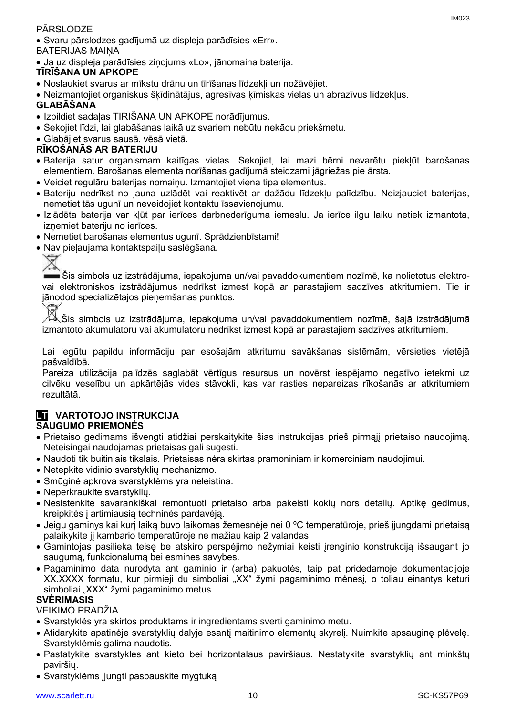#### PĀRSLODZE

 Svaru pārslodzes gadījumā uz displeja parādīsies «Err». BATERIJAS MAIŅA

Ja uz displeja parādīsies ziņojums «Lo», jānomaina baterija.

#### **TĪRĪŠANA UN APKOPE**

- Noslaukiet svarus ar mīkstu drānu un tīrīšanas līdzekļi un nožāvējiet.
- Neizmantojiet organiskus šķīdinātājus, agresīvas ķīmiskas vielas un abrazīvus līdzekļus.

#### **GLABĀŠANA**

- Izpildiet sadaļas TĪRĪŠANA UN APKOPE norādījumus.
- Sekojiet līdzi, lai glabāšanas laikā uz svariem nebūtu nekādu priekšmetu.
- Glabājiet svarus sausā, vēsā vietā.

#### **RĪKOŠANĀS AR BATERIJU**

- Baterija satur organismam kaitīgas vielas. Sekojiet, lai mazi bērni nevarētu piekļūt barošanas elementiem. Barošanas elementa norīšanas gadījumā steidzami jāgriežas pie ārsta.
- Veiciet regulāru baterijas nomaiņu. Izmantojiet viena tipa elementus.
- Bateriju nedrīkst no jauna uzlādēt vai reaktivēt ar dažādu līdzekļu palīdzību. Neizjauciet baterijas, nemetiet tās ugunī un neveidojiet kontaktu īssavienojumu.
- Izlādēta baterija var kļūt par ierīces darbnederīguma iemeslu. Ja ierīce ilgu laiku netiek izmantota, iznemiet bateriju no ierīces.
- Nemetiet barošanas elementus ugunī. Sprādzienbīstami!
- Nav pieļaujama kontaktspaiļu saslēgšana.

Šis simbols uz izstrādājuma, iepakojuma un/vai pavaddokumentiem nozīmē, ka nolietotus elektrovai elektroniskos izstrādājumus nedrīkst izmest kopā ar parastajiem sadzīves atkritumiem. Tie ir jānodod specializētajos pieņemšanas punktos.

Šis simbols uz izstrādājuma, iepakojuma un/vai pavaddokumentiem nozīmē, šajā izstrādājumā izmantoto akumulatoru vai akumulatoru nedrīkst izmest kopā ar parastajiem sadzīves atkritumiem.

Lai iegūtu papildu informāciju par esošajām atkritumu savākšanas sistēmām, vērsieties vietējā pašvaldībā.

Pareiza utilizācija palīdzēs saglabāt vērtīgus resursus un novērst iespējamo negatīvo ietekmi uz cilvēku veselību un apkārtējās vides stāvokli, kas var rasties nepareizas rīkošanās ar atkritumiem rezultātā.

#### **LT VARTOTOJO INSTRUKCIJA SAUGUMO PRIEMONĖS**

- Prietaiso gedimams išvengti atidžiai perskaitykite šias instrukcijas prieš pirmąjį prietaiso naudojimą. Neteisingai naudojamas prietaisas gali sugesti.
- Naudoti tik buitiniais tikslais. Prietaisas nėra skirtas pramoniniam ir komerciniam naudojimui.
- Netepkite vidinio svarstyklių mechanizmo.
- Smūginė apkrova svarstyklėms yra neleistina.
- Neperkraukite svarstyklių.
- Nesistenkite savarankiškai remontuoti prietaiso arba pakeisti kokių nors detalių. Aptikę gedimus, kreipkitės į artimiausią techninės pardavėją.
- Jeigu gaminys kai kurį laiką buvo laikomas žemesnėje nei 0 ºC temperatūroje, prieš įjungdami prietaisą palaikykite jį kambario temperatūroje ne mažiau kaip 2 valandas.
- Gamintojas pasilieka teisę be atskiro perspėjimo nežymiai keisti įrenginio konstrukciją išsaugant jo saugumą, funkcionalumą bei esmines savybes.
- Pagaminimo data nurodyta ant gaminio ir (arba) pakuotės, taip pat pridedamoje dokumentacijoje XX.XXXX formatu, kur pirmieji du simboliai "XX" žymi pagaminimo mėnesį, o toliau einantys keturi simboliai "XXX" žymi pagaminimo metus.

#### **SVĖRIMASIS**

VEIKIMO PRADŽIA

- Svarstyklės yra skirtos produktams ir ingredientams sverti gaminimo metu.
- Atidarykite apatinėje svarstyklių dalyje esantį maitinimo elementų skyrelį. Nuimkite apsauginę plėvelę. Svarstyklėmis galima naudotis.
- Pastatykite svarstykles ant kieto bei horizontalaus paviršiaus. Nestatykite svarstyklių ant minkštų paviršių.
- Svarstyklėms įjungti paspauskite mygtuką

IM023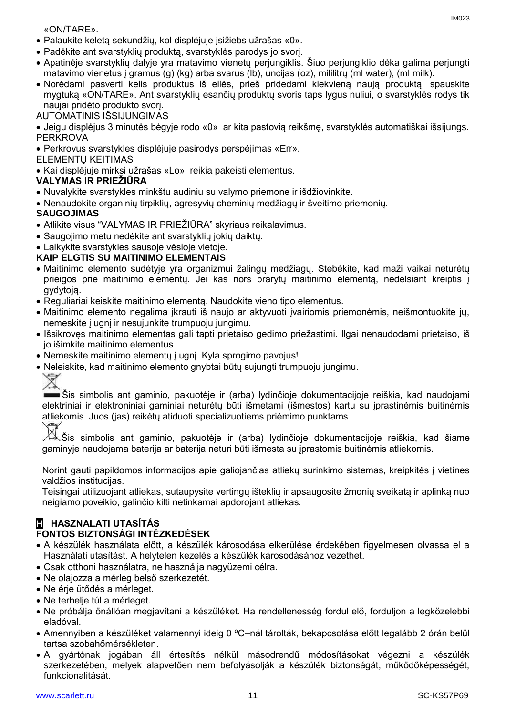«ON/ТARE».

- Palaukite keletą sekundžių, kol displėjuje įsižiebs užrašas «0».
- Padėkite ant svarstyklių produktą, svarstyklės parodys jo svorį.
- Apatinėje svarstyklių dalyje yra matavimo vienetų perjungiklis. Šiuo perjungiklio dėka galima perjungti matavimo vienetus į gramus (g) (kg) arba svarus (lb), uncijas (oz), mililitrų (ml water), (ml milk).
- Norėdami pasverti kelis produktus iš eilės, prieš pridedami kiekvieną naują produktą, spauskite mygtuką «ON/ТARE». Ant svarstyklių esančių produktų svoris taps lygus nuliui, o svarstyklės rodys tik naujai pridėto produkto svorį.
- AUTOMATINIS IŠSIJUNGIMAS
- Jeigu displėjus 3 minutės bėgyje rodo «0» ar kita pastovią reikšmę, svarstyklės automatiškai išsijungs. **PERKROVA**
- Perkrovus svarstykles displėjuje pasirodys perspėjimas «Err».
- ELEMENTŲ KEITIMAS
- Kai displėjuje mirksi užrašas «Lo», reikia pakeisti elementus.

#### **VALYMAS IR PRIEŽIŪRA**

- Nuvalykite svarstykles minkštu audiniu su valymo priemone ir išdžiovinkite.
- Nenaudokite organinių tirpiklių, agresyvių cheminių medžiagų ir šveitimo priemonių.

#### **SAUGOJIMAS**

- Atlikite visus "VALYMAS IR PRIEŽIŪRA" skyriaus reikalavimus.
- Saugojimo metu nedėkite ant svarstyklių jokių daiktų.
- Laikykite svarstykles sausoje vėsioje vietoje.

#### **KAIP ELGTIS SU MAITINIMO ELEMENTAIS**

- Maitinimo elemento sudėtyje yra organizmui žalingų medžiagų. Stebėkite, kad maži vaikai neturėtų prieigos prie maitinimo elementų. Jei kas nors prarytų maitinimo elementą, nedelsiant kreiptis į gydytoją.
- Reguliariai keiskite maitinimo elementą. Naudokite vieno tipo elementus.
- Maitinimo elemento negalima įkrauti iš naujo ar aktyvuoti įvairiomis priemonėmis, neišmontuokite jų, nemeskite į ugnį ir nesujunkite trumpuoju jungimu.
- Išsikrovęs maitinimo elementas gali tapti prietaiso gedimo priežastimi. Ilgai nenaudodami prietaiso, iš jo išimkite maitinimo elementus.
- Nemeskite maitinimo elementų į ugnį. Kyla sprogimo pavojus!
- Neleiskite, kad maitinimo elemento gnybtai būtų sujungti trumpuoju jungimu.



Šis simbolis ant gaminio, pakuotėje ir (arba) lydinčioje dokumentacijoje reiškia, kad naudojami elektriniai ir elektroniniai gaminiai neturėtų būti išmetami (išmestos) kartu su įprastinėmis buitinėmis atliekomis. Juos (jas) reikėtų atiduoti specializuotiems priėmimo punktams.

 $\leftrightarrow$ šis simbolis ant gaminio, pakuotėje ir (arba) lydinčioje dokumentacijoje reiškia, kad šiame gaminyje naudojama baterija ar baterija neturi būti išmesta su įprastomis buitinėmis atliekomis.

Norint gauti papildomos informacijos apie galiojančias atliekų surinkimo sistemas, kreipkitės į vietines valdžios institucijas.

Teisingai utilizuojant atliekas, sutaupysite vertingų išteklių ir apsaugosite žmonių sveikatą ir aplinką nuo neigiamo poveikio, galinčio kilti netinkamai apdorojant atliekas.

### **H HASZNALATI UTASÍTÁS**

#### **FONTOS BIZTONSÁGI INTÉZKEDÉSEK**

- A készülék használata előtt, a készülék károsodása elkerülése érdekében figyelmesen olvassa el a Használati utasítást. A helytelen kezelés a készülék károsodásához vezethet.
- Csak otthoni használatra, ne használja nagyüzemi célra.
- Ne olajozza a mérleg belső szerkezetét.
- Ne érje ütődés a mérleget.
- Ne terhelie túl a mérleget.
- Ne próbálja önállóan megjavítani a készüléket. Ha rendellenesség fordul elő, forduljon a legközelebbi eladóval.
- Amennyiben a készüléket valamennyi ideig 0 ºC–nál tárolták, bekapcsolása előtt legalább 2 órán belül tartsa szobahőmérsékleten.
- A gyártónak jogában áll értesítés nélkül másodrendű módosításokat végezni a készülék szerkezetében, melyek alapvetően nem befolyásolják a készülék biztonságát, működőképességét, funkcionalitását.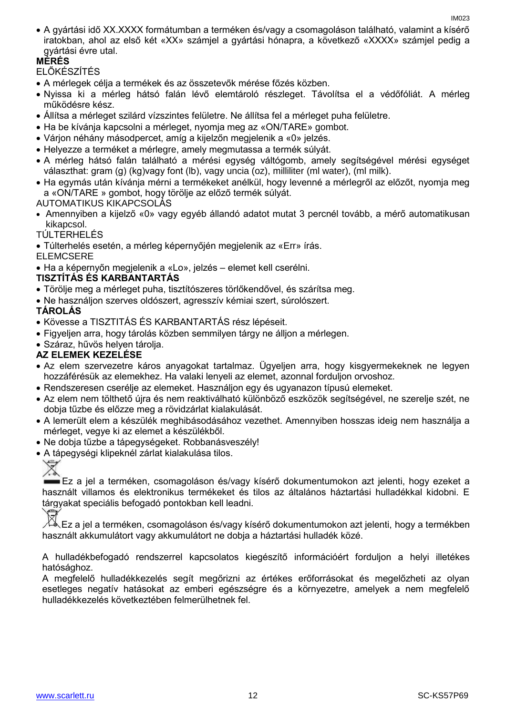A gyártási idő XX.XXXX formátumban a terméken és/vagy a csomagoláson található, valamint a kísérő iratokban, ahol az első két «XX» számjel a gyártási hónapra, a következő «XXXX» számjel pedig a gyártási évre utal.

### **MÉRÉS**

ELŐKÉSZÍTÉS

- A mérlegek célja a termékek és az összetevők mérése főzés közben.
- Nyissa ki a mérleg hátsó falán lévő elemtároló részleget. Távolítsa el a védőfóliát. A mérleg működésre kész.
- Állítsa a mérleget szilárd vízszintes felületre. Ne állítsa fel a mérleget puha felületre.
- Ha be kívánja kapcsolni a mérleget, nyomja meg az «ON/TARE» gombot.
- Várjon néhány másodpercet, amíg a kijelzőn megjelenik a «0» jelzés.
- Helyezze a terméket a mérlegre, amely megmutassa a termék súlyát.
- A mérleg hátsó falán található a mérési egység váltógomb, amely segítségével mérési egységet választhat: gram (g) (kg)vagy font (lb), vagy uncia (oz), milliliter (ml water), (ml milk).
- Ha egymás után kívánja mérni a termékeket anélkül, hogy levenné a mérlegről az előzőt, nyomja meg a «ON/ТARE » gombot, hogy törölje az előző termék súlyát.

#### AUTOMATIKUS KIKAPCSOLÁS

- Amennyiben a kijelző «0» vagy egyéb állandó adatot mutat 3 percnél tovább, a mérő automatikusan kikapcsol.
- TÚLTERHELÉS
- Túlterhelés esetén, a mérleg képernyőjén megjelenik az «Err» írás.

#### ELEMCSERE

Ha a képernyőn megjelenik a «Lo», jelzés – elemet kell cserélni.

#### **TISZTÍTÁS ÉS KARBANTARTÁS**

- Törölje meg a mérleget puha, tisztítószeres törlőkendővel, és szárítsa meg.
- Ne használjon szerves oldószert, agresszív kémiai szert, súrolószert.

#### **TÁROLÁS**

- Kövesse a TISZTITÁS ÉS KARBANTARTÁS rész lépéseit.
- Figyeljen arra, hogy tárolás közben semmilyen tárgy ne álljon a mérlegen.
- Száraz, hűvös helyen tárolja.

#### **AZ ELEMEK KEZELÉSE**

- Az elem szervezetre káros anyagokat tartalmaz. Ügyeljen arra, hogy kisgyermekeknek ne legyen hozzáférésük az elemekhez. Ha valaki lenyeli az elemet, azonnal forduljon orvoshoz.
- Rendszeresen cserélje az elemeket. Használjon egy és ugyanazon típusú elemeket.
- Az elem nem tölthető újra és nem reaktiválható különböző eszközök segítségével, ne szerelje szét, ne dobja tűzbe és előzze meg a rövidzárlat kialakulását.
- A lemerült elem a készülék meghibásodásához vezethet. Amennyiben hosszas ideig nem használja a mérleget, vegye ki az elemet a készülékből.
- Ne dobja tűzbe a tápegységeket. Robbanásveszély!
- A tápegységi klipeknél zárlat kialakulása tilos.



Ez a jel a terméken, csomagoláson és/vagy kísérő dokumentumokon azt jelenti, hogy ezeket a használt villamos és elektronikus termékeket és tilos az általános háztartási hulladékkal kidobni. E tárgyakat speciális befogadó pontokban kell leadni.

Ez a jel a terméken, csomagoláson és/vagy kísérő dokumentumokon azt jelenti, hogy a termékben használt akkumulátort vagy akkumulátort ne dobja a háztartási hulladék közé.

A hulladékbefogadó rendszerrel kapcsolatos kiegészítő információért forduljon a helyi illetékes hatósághoz.

A megfelelő hulladékkezelés segít megőrizni az értékes erőforrásokat és megelőzheti az olyan esetleges negatív hatásokat az emberi egészségre és a környezetre, amelyek a nem megfelelő hulladékkezelés következtében felmerülhetnek fel.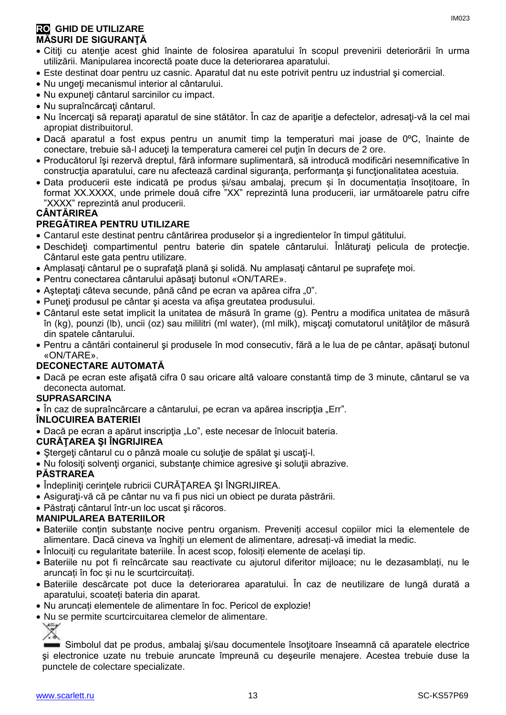- Citiţi cu atenţie acest ghid înainte de folosirea aparatului în scopul prevenirii deteriorării în urma utilizării. Manipularea incorectă poate duce la deteriorarea aparatului.
- Este destinat doar pentru uz casnic. Aparatul dat nu este potrivit pentru uz industrial şi comercial.
- Nu ungeţi mecanismul interior al cântarului.
- Nu expuneţi cântarul sarcinilor cu impact.
- Nu supraîncărcaţi cântarul.
- Nu încercați să reparați aparatul de sine stătător. În caz de apariție a defectelor, adresați-vă la cel mai apropiat distribuitorul.
- Dacă aparatul a fost expus pentru un anumit timp la temperaturi mai joase de 0ºC, înainte de conectare, trebuie să-l aduceți la temperatura camerei cel puțin în decurs de 2 ore.
- Producătorul îşi rezervă dreptul, fără informare suplimentară, să introducă modificări nesemnificative în construcția aparatului, care nu afectează cardinal siguranța, performanța și funcționalitatea acestuia.
- Data producerii este indicată pe produs și/sau ambalaj, precum și în documentația însoțitoare, în format XX.XXXX, unde primele două cifre "XX" reprezintă luna producerii, iar următoarele patru cifre "XXXX" reprezintă anul producerii.

### **CÂNTĂRIREA**

#### **PREGĂTIREA PENTRU UTILIZARE**

- Cantarul este destinat pentru cântărirea produselor și a ingredientelor în timpul gătitului.
- Deschideti compartimentul pentru baterie din spatele cântarului. Înlăturați pelicula de protecție. Cântarul este gata pentru utilizare.
- Amplasaţi cântarul pe o suprafaţă plană şi solidă. Nu amplasaţi cântarul pe suprafeţe moi.
- Pentru conectarea cântarului apăsați butonul «ON/TARE».
- Așteptați câteva secunde, până când pe ecran va apărea cifra "0".
- Puneţi produsul pe cântar şi acesta va afişa greutatea produsului.
- Cântarul este setat implicit la unitatea de măsură în grame (g). Pentru a modifica unitatea de măsură în (kg), pounzi (lb), uncii (oz) sau mililitri (ml water), (ml milk), mişcaţi comutatorul unităţilor de măsură din spatele cântarului.
- Pentru a cântări containerul şi produsele în mod consecutiv, fără a le lua de pe cântar, apăsaţi butonul «ON/ТARE».

#### **DECONECTARE AUTOMATĂ**

 Dacă pe ecran este afişată cifra 0 sau oricare altă valoare constantă timp de 3 minute, cântarul se va deconecta automat.

#### **SUPRASARCINA**

• În caz de supraîncărcare a cântarului, pe ecran va apărea inscripția "Err".

#### **ÎNLOCUIREA BATERIEI**

• Dacă pe ecran a apărut inscripția "Lo", este necesar de înlocuit bateria.

#### **CURĂŢAREA ŞI ÎNGRIJIREA**

- Ştergeţi cântarul cu o pânză moale cu soluţie de spălat şi uscaţi-l.
- Nu folosiţi solvenţi organici, substanţe chimice agresive şi soluţii abrazive.

#### **PĂSTRAREA**

- Îndepliniți cerințele rubricii CURĂTAREA ȘI ÎNGRIJIREA.
- Asiguraţi-vă că pe cântar nu va fi pus nici un obiect pe durata păstrării.
- Păstrați cântarul într-un loc uscat și răcoros.

#### **MANIPULAREA BATERIILOR**

- Bateriile conțin substanțe nocive pentru organism. Preveniți accesul copiilor mici la elementele de alimentare. Dacă cineva va înghiți un element de alimentare, adresați-vă imediat la medic.
- Înlocuiți cu regularitate bateriile. În acest scop, folosiți elemente de același tip.
- Bateriile nu pot fi reîncărcate sau reactivate cu ajutorul diferitor mijloace; nu le dezasamblați, nu le aruncați în foc și nu le scurtcircuitați.
- Bateriile descărcate pot duce la deteriorarea aparatului. În caz de neutilizare de lungă durată a aparatului, scoateți bateria din aparat.
- Nu aruncați elementele de alimentare în foc. Pericol de explozie!
- Nu se permite scurtcircuitarea clemelor de alimentare.

₩

Simbolul dat pe produs, ambalaj şi/sau documentele însoţitoare înseamnă că aparatele electrice şi electronice uzate nu trebuie aruncate împreună cu deşeurile menajere. Acestea trebuie duse la punctele de colectare specializate.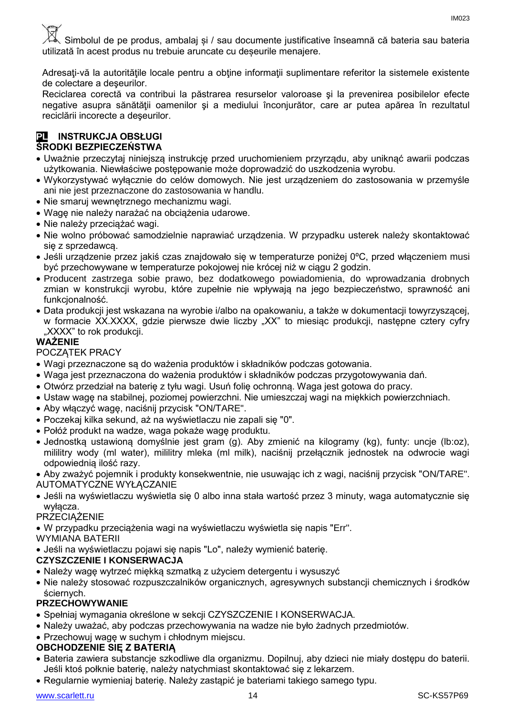Simbolul de pe produs, ambalaj și / sau documente justificative înseamnă că bateria sau bateria utilizată în acest produs nu trebuie aruncate cu deșeurile menajere.

Adresati-vă la autoritățile locale pentru a obține informații suplimentare referitor la sistemele existente de colectare a deşeurilor.

Reciclarea corectă va contribui la păstrarea resurselor valoroase şi la prevenirea posibilelor efecte negative asupra sănătăţii oamenilor şi a mediului înconjurător, care ar putea apărea în rezultatul reciclării incorecte a deşeurilor.

#### **PL INSTRUKCJA OBSŁUGI ŚRODKI BEZPIECZEŃSTWA**

- Uważnie przeczytaj niniejszą instrukcję przed uruchomieniem przyrządu, aby uniknąć awarii podczas użytkowania. Niewłaściwe postępowanie może doprowadzić do uszkodzenia wyrobu.
- Wykorzystywać wyłącznie do celów domowych. Nie jest urządzeniem do zastosowania w przemyśle ani nie jest przeznaczone do zastosowania w handlu.
- Nie smaruj wewnętrznego mechanizmu wagi.
- Wagę nie należy narażać na obciążenia udarowe.
- Nie należy przeciążać wagi.
- Nie wolno próbować samodzielnie naprawiać urządzenia. W przypadku usterek należy skontaktować się z sprzedawcą.
- Jeśli urządzenie przez jakiś czas znajdowało się w temperaturze poniżej 0ºC, przed włączeniem musi być przechowywane w temperaturze pokojowej nie krócej niż w ciągu 2 godzin.
- Producent zastrzega sobie prawo, bez dodatkowego powiadomienia, do wprowadzania drobnych zmian w konstrukcji wyrobu, które zupełnie nie wpływają na jego bezpieczeństwo, sprawność ani funkcjonalność.
- Data produkcji jest wskazana na wyrobie i/albo na opakowaniu, a także w dokumentacji towyrzyszącej, w formacie XX.XXXX, gdzie pierwsze dwie liczby "XX" to miesiąc produkcji, następne cztery cyfry "XXXX" to rok produkcji.

#### **WAŻENIE**

POCZĄTEK PRACY

- Wagi przeznaczone są do ważenia produktów i składników podczas gotowania.
- Waga jest przeznaczona do ważenia produktów i składników podczas przygotowywania dań.
- Otwórz przedział na baterię z tyłu wagi. Usuń folię ochronną. Waga jest gotowa do pracy.
- Ustaw wagę na stabilnej, poziomej powierzchni. Nie umieszczaj wagi na miękkich powierzchniach.
- Aby włączyć wagę, naciśnij przycisk "ON/ТARE".
- Poczekaj kilka sekund, aż na wyświetlaczu nie zapali się "0".
- Połóż produkt na wadze, waga pokaże wagę produktu.
- Jednostką ustawioną domyślnie jest gram (g). Aby zmienić na kilogramy (kg), funty: uncje (lb:oz), mililitry wody (ml water), mililitry mleka (ml milk), naciśnij przełącznik jednostek na odwrocie wagi odpowiednią ilość razy.

 Aby zważyć pojemnik i produkty konsekwentnie, nie usuwając ich z wagi, naciśnij przycisk "ON/ТARE". AUTOMATYCZNE WYŁĄCZANIE

 Jeśli na wyświetlaczu wyświetla się 0 albo inna stała wartość przez 3 minuty, waga automatycznie się wyłącza.

#### **PRZECIAŻENIE**

W przypadku przeciążenia wagi na wyświetlaczu wyświetla się napis "Err".

WYMIANA BATERII

Jeśli na wyświetlaczu pojawi się napis "Lo", należy wymienić baterię.

#### **CZYSZCZENIE I KONSERWACJA**

- Należy wagę wytrzeć miękką szmatką z użyciem detergentu i wysuszyć
- Nie należy stosować rozpuszczalników organicznych, agresywnych substancji chemicznych i środków ściernych.

#### **PRZECHOWYWANIE**

- Spełniaj wymagania określone w sekcji CZYSZCZENIE I KONSERWACJA.
- Należy uważać, aby podczas przechowywania na wadze nie było żadnych przedmiotów.
- Przechowuj wagę w suchym i chłodnym miejscu.

#### **OBCHODZENIE SIĘ Z BATERIĄ**

- Bateria zawiera substancje szkodliwe dla organizmu. Dopilnuj, aby dzieci nie miały dostępu do baterii. Jeśli ktoś połknie baterię, należy natychmiast skontaktować się z lekarzem.
- Regularnie wymieniaj baterię. Należy zastąpić je bateriami takiego samego typu.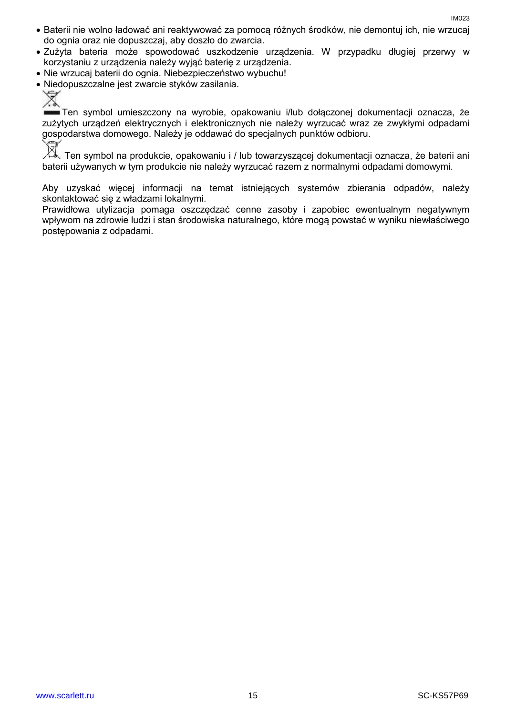- Baterii nie wolno ładować ani reaktywować za pomocą różnych środków, nie demontuj ich, nie wrzucaj do ognia oraz nie dopuszczaj, aby doszło do zwarcia.
- Zużyta bateria może spowodować uszkodzenie urządzenia. W przypadku długiej przerwy w korzystaniu z urządzenia należy wyjąć baterię z urządzenia.
- Nie wrzucaj baterii do ognia. Niebezpieczeństwo wybuchu!
- Niedopuszczalne jest zwarcie styków zasilania.
	-

Ten symbol umieszczony na wyrobie, opakowaniu i/lub dołączonej dokumentacji oznacza, że zużytych urządzeń elektrycznych i elektronicznych nie należy wyrzucać wraz ze zwykłymi odpadami gospodarstwa domowego. Należy je oddawać do specjalnych punktów odbioru.

Ten symbol na produkcie, opakowaniu i / lub towarzyszącej dokumentacji oznacza, że baterii ani<br>Z Ten symbol na produkcie, opakowaniu i / lub towarzyszącej dokumentacji oznacza, że baterii ani baterii używanych w tym produkcie nie należy wyrzucać razem z normalnymi odpadami domowymi.

Aby uzyskać więcej informacji na temat istniejących systemów zbierania odpadów, należy skontaktować się z władzami lokalnymi.

Prawidłowa utylizacja pomaga oszczędzać cenne zasoby i zapobiec ewentualnym negatywnym wpływom na zdrowie ludzi i stan środowiska naturalnego, które mogą powstać w wyniku niewłaściwego postępowania z odpadami.